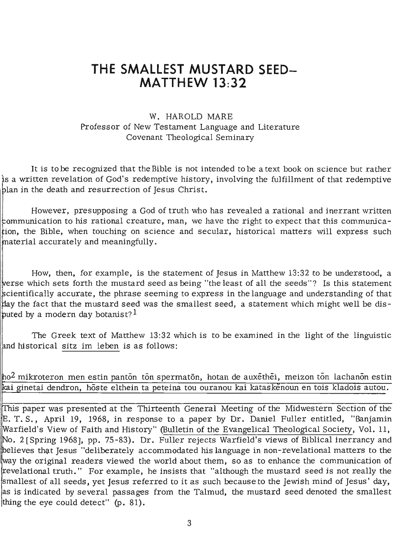# **THE SMALLEST MUSTARD SEED-MATTHEW 13:32**

## W. HAROLD MARE Professor of New Testament Language and Literature Covenant Theological Seminary

It is to be recognized that the Bible is not intended to be a text book on science but rather is a written revelation of God's redemptive history, involving the fulfillment of that redemptive blan in the death and resurrection of Jesus Christ.

However, presupposing a God of truth who has revealed a rational and inerrant written communication to his rational creature, man, we have the right to expect that this communicaion, the Bible, when touching on science and secular, historical matters will express such material accurately and meaningfully.

How, then, for example, is the statement of Jesus in Matthew 13:32 to be understood, a erse which sets forth the mustard seed as being "the least of all the seeds"? Is this statement cientifically accurate, the phrase seeming to express in the language and understanding of that y the fact that the mustard seed was the smallest seed, a statement which might well be disputed by a modern day botanist?  $^{\rm l}$ 

The Greek text of Matthew 13:32 which is to be examined in the light of the linguistic and historical sitz im leben is as follows:

 $\ln\!o2$  mikroteron men estin pantōn tōn spermatōn, hotan de auxēthēi, meizon tōn lachanōn estin kai ginetai dendron, hoste elthein ta peteina tou ouranou kai kataskenoun en tois kladois autou.

This paper was presented at the Thirteenth General Meeting of the Midwestern Section of the E. T. S., April 19, 1968, in response to a paper by Dr. Daniel Fuller entitled, "Banjamin arfield's View of Faith and History" (Bulletin of the Evangelical Theological Society, Vol. 11, No. 2 [Spring 1968], pp. 75-83). Dr. Fuller rejects Warfield's views of Biblical inerrancy and believes that Jesus "deliberately accommodated his language in non-revelational matters to the ay the original readers viewed the world about them, so as to enhance the communication of revelational truth." For example, he insists that "although the mustard seed is not really the smallest of all seeds, yet Jesus referred to it as such because to the Jewish mind of Jesus' day, as is indicated by several passages from the Talmud, the mustard seed denoted the smallest thing the eye could detect" (p. 81).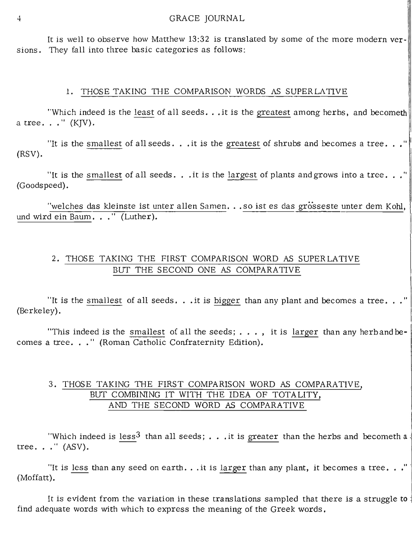It is well to observe how Matthew 13:32 is translated by some of the more modern versions. They fall into three basic categories as follows:

#### 1. THOSE TAKING THE COMPARISON WORDS AS SUPERLATIVE

"Which indeed is the least of all seeds... it is the greatest among herbs, and becometh a tree. . . " (KJV).

"It is the smallest of all seeds... it is the greatest of shrubs and becomes a tree..." (RSV).

"It is the smallest of all seeds. . .it is the largest of plants and grows into a tree..." (Goodspeed).

"welches das kleinste ist unter allen Samen... so ist es das grosseste unter dem Kohl, und wird ein Baum. . . " (Luther).

# 2. THOSE TAKING THE FIRST COMPARISON WORD AS SUPERLATIVE Bur THE SECOND ONE AS COMPARATIVE

"It is the smallest of all seeds. . .it is bigger than any plant and becomes a tree. . ." (Berkeley).

"This indeed is the smallest of all the seeds;  $\dots$ , it is larger than any herband becomes a tree. . . " (Roman Catholic Confraternity Edition).

## 3. THOSE TAKING THE FIRST COMPARISON WORD AS COMPARATIVE, Bur COMBINING IT WITH THE IDEA OF TOTALITY, AND THE SECOND WORD AS COMPARATIVE

"Which indeed is less<sup>3</sup> than all seeds; . . . it is greater than the herbs and becometh a tree. . . " (ASV).

"It is <u>less</u> than any seed on earth... it is <u>larger</u> than any plant, it becomes a tree..."<br>(Moffatt).

It is evident from the variation in these translations sampled that there is a struggle to : find adequate words with which to express the meaning of the Greek words.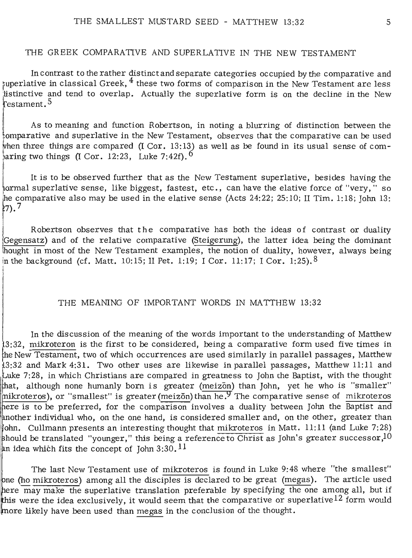## THE GREEK COMPARATIVE AND SUPERLATIVE IN THE NEW TESTAMENT

In contrast to the rather distinct and separate categories occupied by the comparative and superlative in classical Greek,  $4$  these two forms of comparison in the New Testament are less istinctive and tend to overlap. Actually the superlative form is on the decline in the New testament.<sup>5</sup>

As to meaning and function Robertson, in noting a blurring of distinction between the  $\frac{1}{2}$ omparative and superlative in the New Testament, observes that the comparative can be used hen three things are compared (I Cor. 13: *13J* as well as be found in its usual sense of comaring two things (I Cor. 12:23, Luke 7:42f).  $^6$ 

It is to be observed further that as the New Testament superlative, besides having the ormal superlative sense, like biggest, fastest, etc., can have the elative force of "very," so he comparative also may be used in the elative sense (Acts  $24:22:25:10;$  II Tim. 1:18; John 13:  $27.7$ 

Robertson observes that the comparative has both the ideas of contrast or duality Gegensatz) and of the relative comparative (Steigerung), the latter idea being the dominant hought in most of the New Testament examples, the notion of duality, however, always being in the background (cf. Matt. 10:15; II Pet. 1:19; I Cor. 11:17; I Cor. 1:25).  $8$ 

#### THE MEANING OF IMPORTANT WORDS IN MATTHEW 13:32

In the discussion of the meaning of the words important to the understanding of Matthew  $\beta$ :32, mikroteron is the first to be considered, being a comparative form used five times in the New Testament, two of which occurrences are used similarly in parallel passages, Matthew  $3:32$  and Mark 4:31. Two other uses are likewise in parallel passages, Matthew 11:11 and Luke 7:28, in which Christians are compared in greatness to John the Baptist, with the thought  $\frac{1}{2}$  although none humanly born is greater (meizon) than John, yet he who is "smaller" nikroteros), or "smallest" is greater (meizon) than he.<sup>9</sup> The comparative sense of mikroteros here is to be preferred, for the comparison involves a duality between John the Baptist and another individual who, on the one hand, is considered smaller and, on the other, greater than john. Cullmann presents an interesting thought that mikroteros in Matt. 11:11 (and Luke 7:28) should be translated "younger," this being a reference to Christ as John's greater successor,  $10$ an idea which fits the concept of John 3:30.  $11$ 

The last New Testament use of mikroteros is found in Luke 9:48 where "the smallest" ne (ho mikroteros) among all the disciples is declared to be great (megas). The article used here  $\overline{\text{may make}}$  the superlative translation preferable by specifying the one among all, but if this were the idea exclusively, it would seem that the comparative or superlative  $12$  form would more likely have been used than megas in the conclusion of the thought.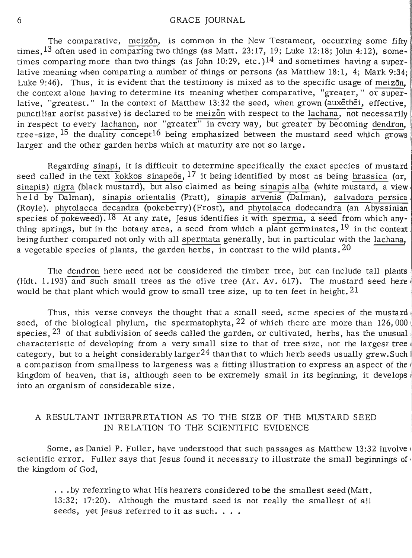The comparative, meizon, is common in the New Testament, occurring some fifty times,  $^{13}$  often used in comparing two things (as Matt. 23:17, 19; Luke 12:18; John 4:12), sometimes comparing more than two things (as John 10:29, etc.)<sup>14</sup> and sometimes having a superlative meaning when comparing a number of things or persons (as Matthew 18:1, 4; Mark 9:34; Luke 9:46). Thus, it is evident that the testimony is mixed as to the specific usage of meizon, the context alone having to determine its meaning whether comparative, "greater," or superlative, "greatest." In the context of Matthew 13:32 the seed, when grown (auxethei, effective, punctiliar aorist passive) is declared to be meizon with respect to the lachana, not necessarily in respect to every lachanon, nor "greater" in every way, but greater by becoming dendron, ' tree-size,  $^{15}$  the duality concept<sup>16</sup> being emphasized between the mustard seed which grows larger and the other garden herbs which at maturity are not so large.

Regarding sinapi, it is difficult to determine specifically the exact species of mustard seed called in the text kokkos sinapeos,  $17$  it being identified by most as being brassica (or, sinapis) nigra (black mustard), but also claimed as being sinapis alba (white mustard, a view he 1d by Dalman), sinapis orientalis (Pratt), sinapis arvenis (Dalman), salvadora persica (Royle), phytolacca decandra (pokeberry)(Frost), and phytolacca dodecandra (an Abyssinian species of pokeweed). <sup>18</sup> At any rate, Jesus identifies it with sperma, a seed from which anything springs, but in the botany area, a seed from which a plant germinates,  $19$  in the context. being further compared not only with all spermata generally, but in particular with the lachana, a vegetable species of plants, the garden herbs, in contrast to the wild plants.  $20$ 

The dendron here need not be considered the timber tree, but can include tall plants : (Hdt.  $1.193$ ) and such small trees as the olive tree (Ar. Av. 617). The mustard seed here would be that plant which would grow to small tree size, up to ten feet in height.  $21$ 

Thus, this verse conveys the thought that a small seed, scme species of the mustard seed, of the biological phylum, the spermatophyta,  $22$  of which there are more than 126,000 species,  $^{23}$  of that subdivision of seeds called the garden, or cultivated, herbs, has the unusual characteristic of developing from a very small size to that of tree size, not the largest tree category, but to a height considerably larger<sup>24</sup> than that to which herb seeds usually grew. Such a comparison from smallness to largeness was a fitting illustration to express an aspect of the kingdom of heaven, that is, although seen to be extremely small in its beginning, it develops: into an organism of considerable size.

## A RESULTANT INTERPRETATION AS TO THE SIZE OF THE MUSTARD SEED IN RELATION TO THE SCIENTIFIC EVIDENCE

Some, as Daniel P. Fuller, have understood that such passages as Matthew 13:32 involve ( scientific error. Fuller says that Jesus found it necessary to illustrate the small beginnings of the kingdom of God,

... by referring to what His hearers considered to be the smallest seed (Matt. 13:32; 17:20). Although the mustard seed is not really the smallest of all seeds, yet Jesus referred to it as such....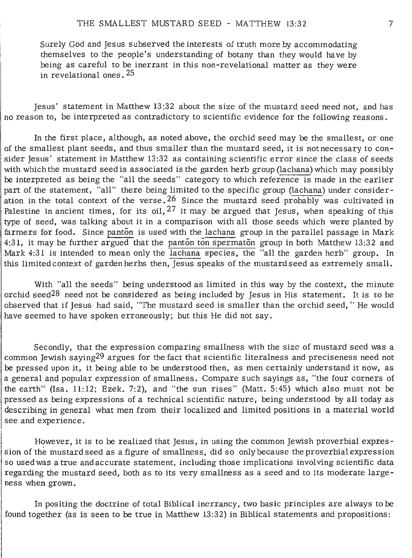Surely God and Jesus subserved the interests *oi* truth more by accommodating themselves to the people's understanding of botany than they would have by being as careful to be inerrant in this non-revelational matter as they were in revelational ones. 25

Jesus' statement in Matthew 13 :32 about the size of the mustard seed need not, and has no reason to, be interpreted as contradictory to scientific evidence for the following reasons.

In the first place, although, as noted above, the orchid seed may be the smallest, or one of the smallest plant seeds, and thus smaller than the mustard seed, it is not necessary to consider Jesus' statement in Matthew 13:32 as containing scientific error since the class of seeds with which the mustard seed is associated is the garden herb group (lachana) which may possibly be interpreted as being the "all the seeds" category to which reference is made in the earlier part of the statement, "all" there being limited to the specific group (lachana) under consideration in the total context of the verse.  $26$  Since the mustard seed probably was cultivated in Palestine in ancient times, for its oil,  $2^7$  it may be argued that Jesus, when speaking of this type of seed, was talking about it in a comparison with all those seeds which were planted by farmers for food. Since panton is used with the lachana group in the parallel passage in Mark 4:31, it may be further argued that the panton tonspermaton group in both Matthew 13:32 and Mark 4:31 is intended to mean only the lachana species, the "all the garden herb" group. In this limited context of garden herbs then, Jesus speaks of the mustard seed as extremely small.

With "all the seeds" being understood as limited in this way by the context, the minute orchid seed<sup>28</sup> need not be considered as being included by Jesus in His statement. It is to be observed that if Jesus had said, "The mustard seed is smaller than the orchid seed, " He would have seemed to have spoken erroneously; but this He did not say.

Secondly, that the expression comparing smallness with the size of mustard seed was a common Jewish saying<sup>29</sup> argues for the fact that scientific literalness and preciseness need not be pressed upon it, it being able to be understood then, as men certainly understand it now, as a general and popular expression of smallness. Compare such sayings as, "the four corners of the earth" (Isa. 11:12; Ezek. 7:2), and "the sun rises" (Matt. 5:45) which also must not be pressed as being expressions of a technical scientific nature, being understood by all today as describing in general what men from their localized and limited positions in a material world see and experience.

However, it is to be realized that Jesus, in using the common Jewish proverbial expression of the mustard seed as a figure of smallness, did so only because the proverbial expression so used was a true andaccurate statement, including those implications involving scientific data regarding the mustard seed, both as to its very smallness as a seed and to its moderate largeness when grown.

In positing the doctrine of total Biblical inerrancy, two basic principles are always to be found together (as is seen to be true in Matthew 13:32) in Biblical statements and propositions: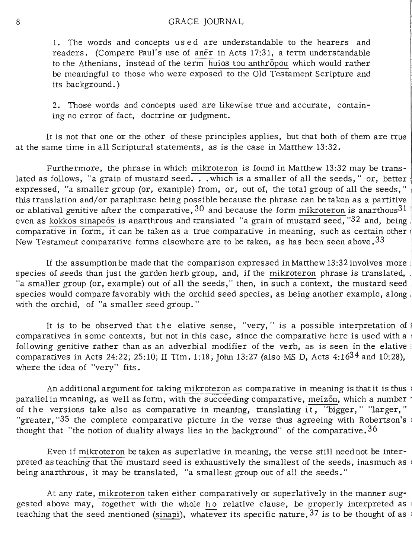#### 8 GRACE JOURNAL

1. The words and concepts use d are understandable to the hearers and readers . (Compare Paul's use of aner in Acts 17:31, a term understandable to the Athenians, instead of the term huios tou anthropou which would rather be meaningful to those who were exposed to the Old Testament Scripture and its background.)

2. Those words and concepts used are likewise true and accurate, containing no error of fact, doctrine or judgment.

It is not that one or the other of these principles applies, but that both of them are true at the same time in all Scriptural statements, as is the case in Matthew  $13:32$ .

Furthermore, the phrase in which mikroteron is found in Matthew 13:32 may be translated as follows, "a grain of mustard seed. . . which is a smaller of all the seeds," or, better  $\frac{1}{2}$ expressed, "a smaller group (or, example) from, or, out of, the total group of all the seeds," this translation and/or paraphrase being possible because the phrase can be taken as a partitive or ablatival genitive after the comparative,  $30$  and because the form mikroteron is anarthous  $31$ even as kokkos sinapeös is anarthrous and translated "a grain of mustard seed, "32 and, being. comparative in form, it can be taken as a true comparative in meaning, such as certain other  $\overline{\phantom{a}}$ New Testament comparative forms elsewhere are to be taken, as has been seen above.  $33$ 

If the assumption be made that the comparison expressed in Matthew  $13:32$  involves more  $\overline{a}$ species of seeds than just the garden herb group, and, if the mikroteron phrase is translated, , "a smaller group (or, example) out of all the seeds," then, in such a context, the mustard seed. species would compare favorably with the orchid seed species, as being another example, along  $\overline{\phantom{a}}$ with the orchid, of "a smaller seed group."

It is to be observed that the elative sense, "very," is a possible interpretation of I comparatives in some contexts, but not in this case, since the comparative here is used with a following genitive rather than as an adverbial modifier of the verb, as is seen in the elative ; comparatives in Acts 24:22; 25:10; II Tim. 1:18; John 13:27 (also MS D, Acts 4:1634 and 10:28). where the idea of "very" fits.

An additional argument for taking mikroteron as comparative in meaning is that it is thus <sup>i</sup> parallel in meaning, as well as form, with the succeeding comparative, meizon, which a number of the versions take also as comparative in meaning, translating  $i\bar{t}$ , "bigger," "larger," "greater, "35 the complete comparative picture in the verse thus agreeing with Robertson's thought that "the notion of duality always lies in the background" of the comparative.<sup>36</sup>

Even if mikroteron be taken as superlative in meaning, the verse still need not be interpreted as teaching that the mustard seed is exhaustively the smallest of the seeds, inasmuch as being anarthrous, it may be translated, "a smallest group out of all the seeds."

At any rate, mikroteron taken either comparatively or superlatively in the manner suggested above may, together with the whole ho relative clause, be properly interpreted as teaching that the seed mentioned (sinapi), whatever its specific nature,  $37$  is to be thought of as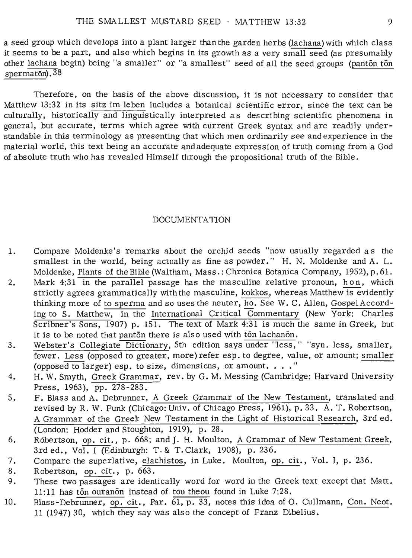a seed group which develops into a plant larger thanthe garden herbs (lachana) with which class it seems to be a part, and also which begins in its growth as a very small seed (as presumably other lachana begin) being "a smaller" or "a smallest" seed of all the seed groups (panton ton  $s$ permaton).  $38$ 

Therefore, on the basis of the above discussion, it is not necessary to consider that Matthew 13:32 in its sitz im leben includes a botanical scientific error, since the text can be culturally, historically and linguistically interpreted as describing scientific phenomena in general, but accurate, terms which agree with current Greek syntax and are readily understandable in this terminology as presenting that which men ordinarily see and experience in the material world, this text being an accurate andadequate expression of truth coming from a God of absolute truth who has revealed Himself through the propositional truth of the Bible.

#### DOCUMENTATION

- 1. Compare Moldenke's remarks about the orchid seeds "now usually regarded as the smallest in the world, being actually as fine as powder." H. N. Moldenke and A. L. Moldenke, Plants of the Bible (Waltham, Mass.: Chronica Botanica Company, 1952), p. 61.
- 2. Mark 4:31 in the parallel passage has the masculine relative pronoun, hon, which strictly agrees grammatically with the masculine, kokkos, whereas Matthew is evidently thinking more of to sperma and so uses the neuter, ho. See W. C. Allen, Gospel According to S. Matthew, in the International Critical Commentary (New York: Charles Scribner's Sons, 1907) p. 151. The text of Mark 4:31 is much the same in Greek, but it is to be noted that panton there is also used with ton lachanon.
- 3. Webster's Collegiate Dictionary, 5th edition says under "less," "syn. less, smaller, fewer. Less (opposed to greater, more) refer esp. to degree, value, or amount; smaller (opposed to larger) esp. to size, dimensions, or amount. ... "
- 4. H. W. Smyth, Greek Grammar, rev. by G. M. Messing (Cambridge: Harvard University Press, 1963), pp. 278-283.
- 5. F. Blass and A. Debrunner, A Greek Grammar of the New Testament, translated and revised by R. W. Funk (Chicago: Univ. of Chicago Press, 1961), p. 33. A. T. Robertson, A Grammar of the Greek New Testament in the Light of Historical Research, 3rd ed. (London: Hodder and Stoughton, 1919), p. 28.
- 6. Robertson, op. cit., p. 668; and J. H. Moulton, A Grammar of New Testament Greek, 3rd ed., Vol. I (Edinburgh: T. & T. Clark, 1908), p. 236.
- 7. Compare the superlative, elachistos, in Luke. Moulton, op. cit., Vol. I, p. 236.<br>8. Robertson, op. cit., p. 663.
- 
- 8. Robertson, <u>op. cit</u>., p. 663.<br>9. These two passages are identically word for word in the Greek text except that Matt. 11:11 has ton ouranon instead of tou theou found in Luke 7:28.
- 10. Blass-Debrunner, op. cit., Par.  $\overline{61}$ , p. 33, notes this idea of O. Cullmann, Con. Neot. 11 (1947) 30, which they say was also the concept of Franz Dibelius.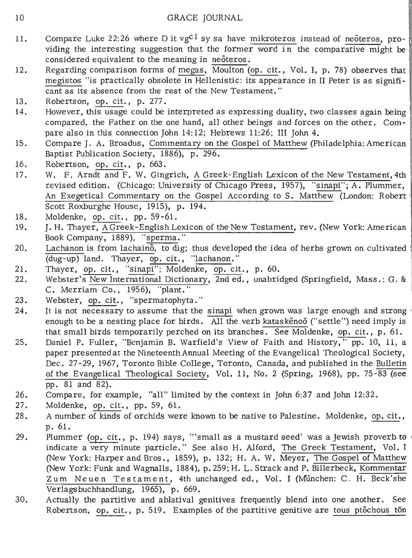- 11. Compare Luke 22:26 where D it vg<sup>c1</sup> sy sa have mikroteros instead of neoteros, providing the interesting suggestion that the former word in the comparative might be considered equivalent to the meaning in neoteros.
- 12. Regarding comparison forms of megas,  $\overline{\text{Moulton}}$  (op. cit., Vol. I, p. 78) observes that megistos "is practically obsolete in Hellenistic: its appearance in II Peter is as significant as its absence from the rest of the New Testament. "
- 13. Robertson, op. cit., p. 277.
- 14 . However, this usage could be interpreted as expressing duality, two classes again being compared, the Father on the one hand, all other beings and forces on the other. Compare also in this connection John 14:12; Hebrews 11:26; III John 4.
- 15. Compare J. A. Broadus, Commentary on the Gospel of Matthew (Philadelphia: American Baptist Publication Society, 1886), p. 296.
- 16. Robertson, op. cit., p. 663.
- 17. W. F. Arndt and F. W. Gingrich, A Greek-English Lexicon of the New Testament, 4th revised edition. (Chicago: University of Chicago Press, 1957), "sinapi"; A. Plummer, An Exegetical Commentary on the Gospel According to S. Matthew (London: Robert Scott Roxburghe House, 1915), p. 194.
- 18. Moldenke, op. cit., pp. 59-61.
- 19. J. H. Thayer, A Greek-English Lexicon of the New Testament, rev. (New York: American Book Company, 1889), "sperma."
- 20. Lachanon is from lachaino, to dig; thus developed the idea of herbs grown on cultivated ! (dug-up) land. Thayer, op. cit., "lachanon."
- 21. Thayer, op. cit., "sinapi"; Moldenke, op. cit., p. 60.
- 22. Webster's New International Dictionary, 2nd ed., unabridged (Springfield, Mass.: G. & C. Merriam Co., 1956), "plant."
- 23. Webster, op. cit., "spermatophyta."
- 24. It is not necessary to assume that the sinapi when grown was large enough and strong enough to be a nesting place for birds. All the verb kataskenoo ("settle") need imply is that small birds temporarily perched on its branches. See Moldenke, op. cit., p. 61.
- 25. Daniel P. Fuller, "Benjamin B. Warfield's View of Faith and History,"  $pp. 10, 11, a$ paper presentedat the Nineteenth Annual Meeting of the Evangelical Theological Society, Dec. 27-29, 1967, Toronto Bible College, Toronto, Canada, and published in the Bulletin of the Evangelical Theological Society, Vol. 11, No.2 (Spring, 1968), pp. 75-83 (see pp. 81 and 82).
- 26. Compare, for example, "all" limited by the context in John 6:37 and John 12:32.
- 27. Moldenke, op. cit., pp. 59, 61.
- 28. A number of kinds of orchids were known to be native to Palestine. Moldenke, op. cit., p. 61.
- 29. Plummer (op. cit., p. 194) says, '''small as a mustard seed' was a Jewish proverb to <sup>I</sup> indicate a very minute particle." See also H. Alford, The Greek Testament, Vol. I (New York: Harper and Bros., 1859), p. 132; H. A. W. Meyer, The Gospel of Matthew (New York: Funk and Wagnalls, 1884), p. 259; H. L. Strack and P. Billerbeck, Kommentar Zum Neuen Testament, 4th unchanged ed., Vol. I (Munchen: C. H. Beck'she Verlagsbuchhandlung, 1965), p. 669.
- 30. Actually the partitive and ablatival genitives frequently blend into one another. See Robertson, op. cit., p. 519. Examples of the partitive genitive are tous ptochous ton